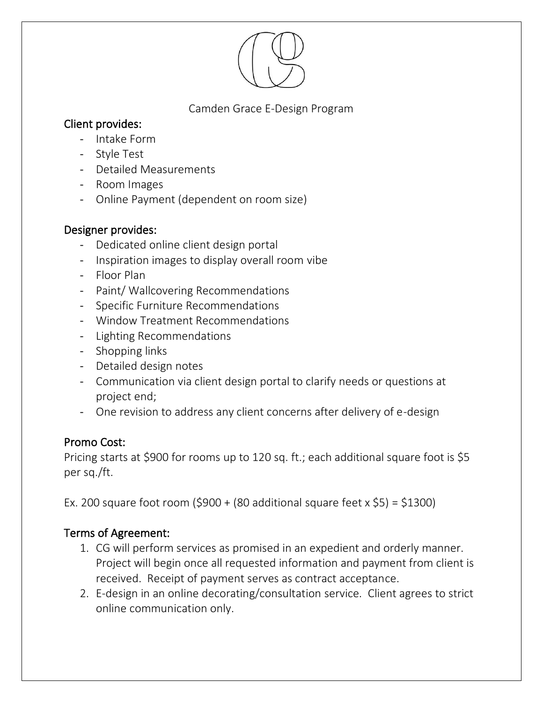

## Camden Grace E-Design Program

# Client provides:

- Intake Form
- Style Test
- Detailed Measurements
- Room Images
- Online Payment (dependent on room size)

## Designer provides:

- Dedicated online client design portal
- Inspiration images to display overall room vibe
- Floor Plan
- Paint/ Wallcovering Recommendations
- Specific Furniture Recommendations
- Window Treatment Recommendations
- Lighting Recommendations
- Shopping links
- Detailed design notes
- Communication via client design portal to clarify needs or questions at project end;
- One revision to address any client concerns after delivery of e-design

# Promo Cost:

Pricing starts at \$900 for rooms up to 120 sq. ft.; each additional square foot is \$5 per sq./ft.

Ex. 200 square foot room  $(\text{$}900 + (80 \text{ additional square feet x $5}) = \text{$}1300)$ 

# Terms of Agreement:

- 1. CG will perform services as promised in an expedient and orderly manner. Project will begin once all requested information and payment from client is received. Receipt of payment serves as contract acceptance.
- 2. E-design in an online decorating/consultation service. Client agrees to strict online communication only.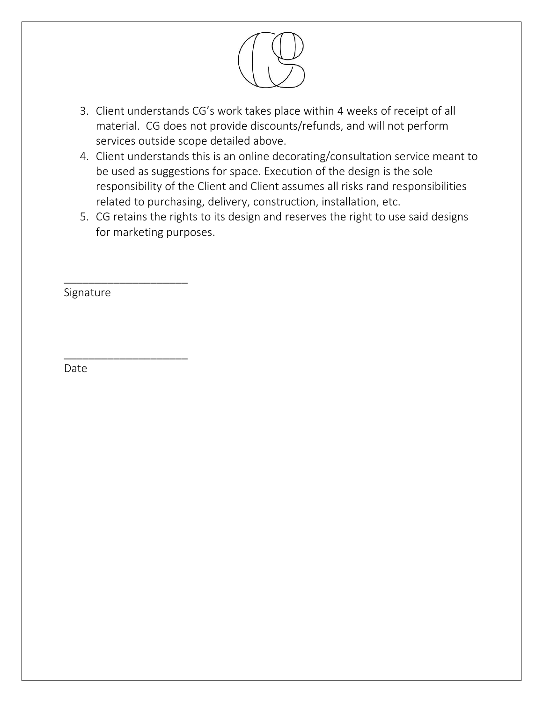

- 3. Client understands CG's work takes place within 4 weeks of receipt of all material. CG does not provide discounts/refunds, and will not perform services outside scope detailed above.
- 4. Client understands this is an online decorating/consultation service meant to be used as suggestions for space. Execution of the design is the sole responsibility of the Client and Client assumes all risks rand responsibilities related to purchasing, delivery, construction, installation, etc.
- 5. CG retains the rights to its design and reserves the right to use said designs for marketing purposes.

Signature

\_\_\_\_\_\_\_\_\_\_\_\_\_\_\_\_\_\_\_\_

\_\_\_\_\_\_\_\_\_\_\_\_\_\_\_\_\_\_\_\_

Date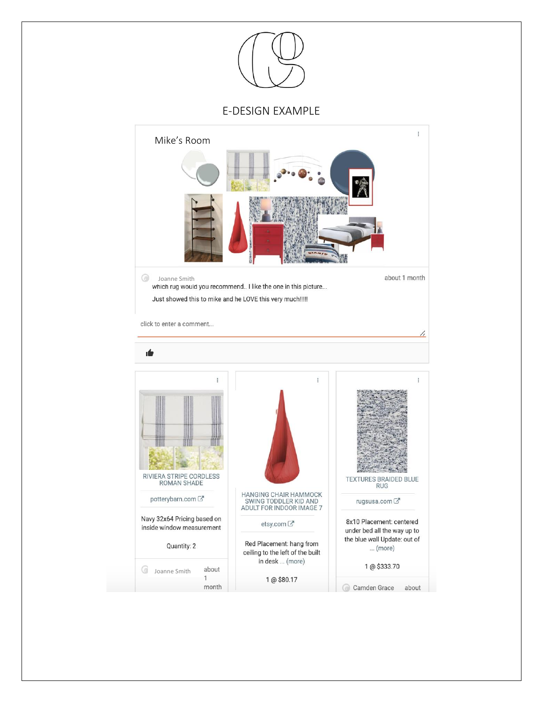

#### E-DESIGN EXAMPLE

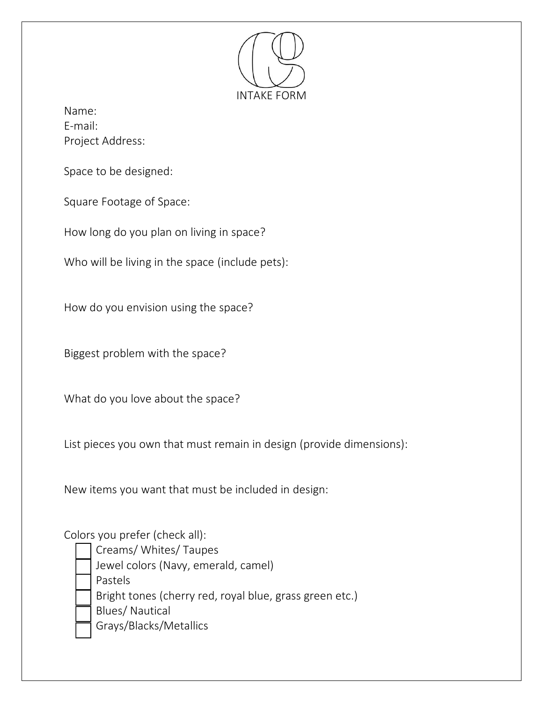

Name: E-mail: Project Address:

Space to be designed:

Square Footage of Space:

How long do you plan on living in space?

Who will be living in the space (include pets):

How do you envision using the space?

Biggest problem with the space?

What do you love about the space?

List pieces you own that must remain in design (provide dimensions):

New items you want that must be included in design:

## Colors you prefer (check all):

- Creams/ Whites/ Taupes
- Jewel colors (Navy, emerald, camel)

Pastels

Bright tones (cherry red, royal blue, grass green etc.)

Blues/ Nautical

Grays/Blacks/Metallics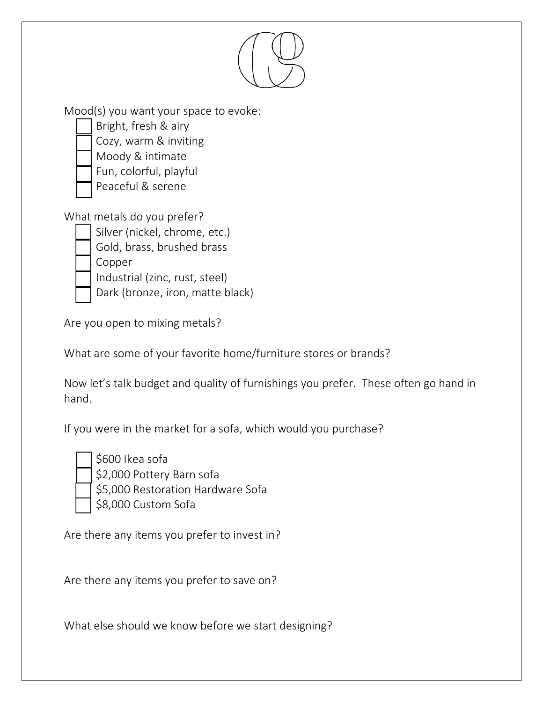

What are some of your favorite home/furniture stores or brands?

Now let's talk budget and quality of furnishings you prefer. These often go hand in hand.

If you were in the market for a sofa, which would you purchase?

\$600 Ikea sofa

\$2,000 Pottery Barn sofa

\$5,000 Restoration Hardware Sofa \$8,000 Custom Sofa

Are there any items you prefer to invest in?

Are there any items you prefer to save on?

What else should we know before we start designing?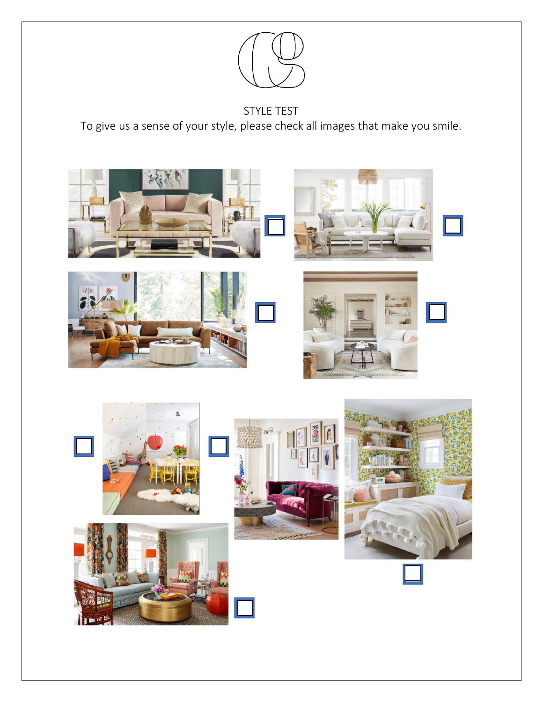

# STYLE TEST

To give us a sense of your style, please check all images that make you smile.

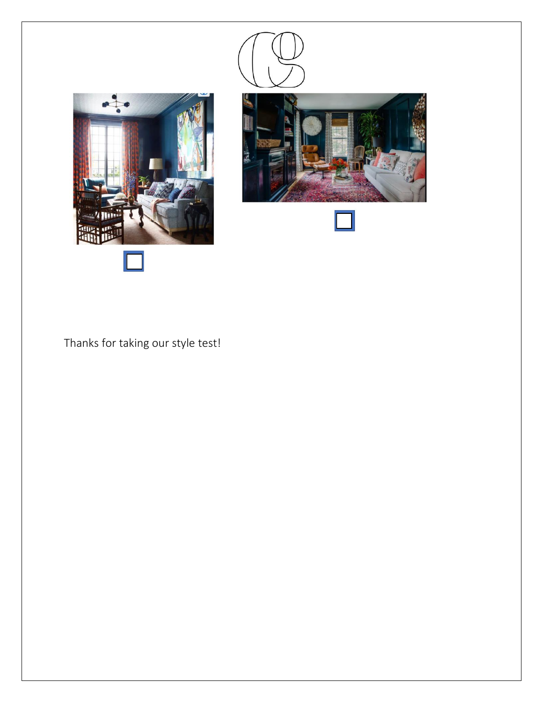





Thanks for taking our style test!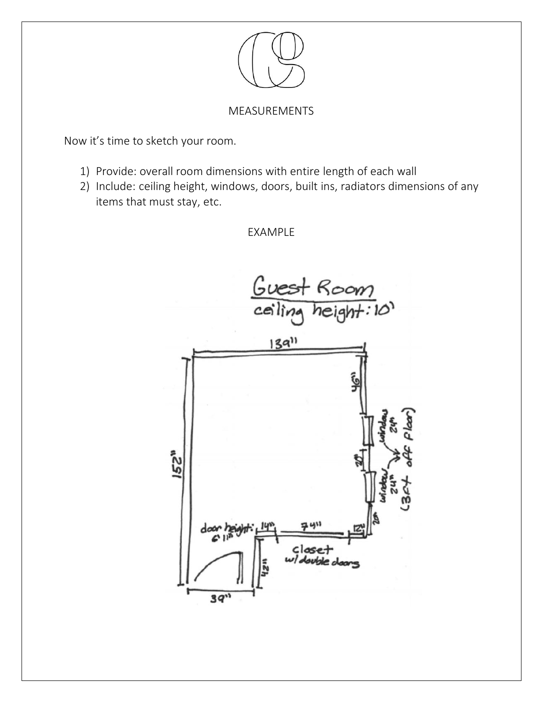

### MEASUREMENTS

Now it's time to sketch your room.

- 1) Provide: overall room dimensions with entire length of each wall
- 2) Include: ceiling height, windows, doors, built ins, radiators dimensions of any items that must stay, etc.

EXAMPLE

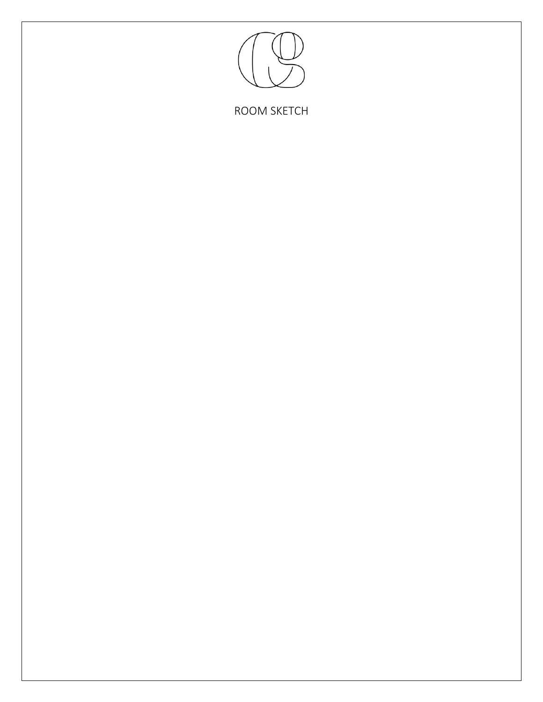

ROOM SKETCH